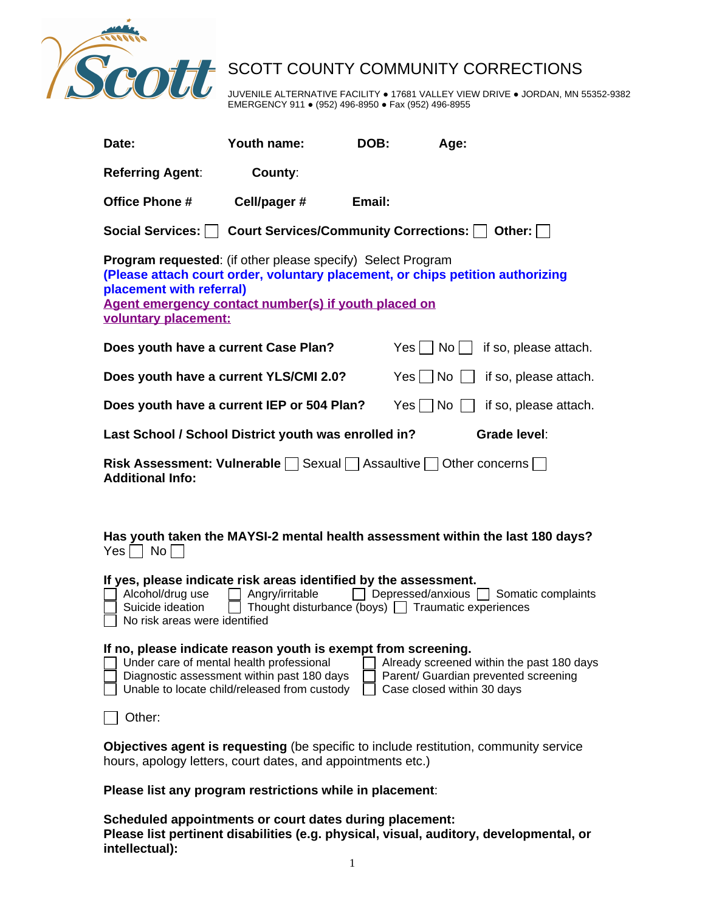

SCOTT COUNTY COMMUNITY CORRECTIONS JUVENILE ALTERNATIVE FACILITY . 17681 VALLEY VIEW DRIVE . JORDAN, MN 55352-9382 EMERGENCY 911 ● (952) 496-8950 ● Fax (952) 496-8955

| Date:                                                                                                                                                                                                                                                                                                                      | Youth name:  | DOB:   | Age:                 |                       |
|----------------------------------------------------------------------------------------------------------------------------------------------------------------------------------------------------------------------------------------------------------------------------------------------------------------------------|--------------|--------|----------------------|-----------------------|
| <b>Referring Agent:</b>                                                                                                                                                                                                                                                                                                    | County:      |        |                      |                       |
| <b>Office Phone #</b>                                                                                                                                                                                                                                                                                                      | Cell/pager # | Email: |                      |                       |
| Social Services:   Court Services/Community Corrections:   Other:   □                                                                                                                                                                                                                                                      |              |        |                      |                       |
| <b>Program requested:</b> (if other please specify) Select Program<br>(Please attach court order, voluntary placement, or chips petition authorizing<br>placement with referral)<br>Agent emergency contact number(s) if youth placed on<br>voluntary placement:                                                           |              |        |                      |                       |
| Does youth have a current Case Plan?                                                                                                                                                                                                                                                                                       |              |        | Yes    <br>No        | if so, please attach. |
| Does youth have a current YLS/CMI 2.0?                                                                                                                                                                                                                                                                                     |              |        | $Yes \mid \text{No}$ | if so, please attach. |
| Does youth have a current IEP or 504 Plan?                                                                                                                                                                                                                                                                                 |              |        | $Yes \mid \text{No}$ | if so, please attach. |
| Grade level:<br>Last School / School District youth was enrolled in?                                                                                                                                                                                                                                                       |              |        |                      |                       |
| <b>Risk Assessment: Vulnerable</b> Sexual $\Box$ Assaultive $\Box$ Other concerns $\Box$<br><b>Additional Info:</b>                                                                                                                                                                                                        |              |        |                      |                       |
|                                                                                                                                                                                                                                                                                                                            |              |        |                      |                       |
| Has youth taken the MAYSI-2 mental health assessment within the last 180 days?<br>$Yes \mid  No $                                                                                                                                                                                                                          |              |        |                      |                       |
| If yes, please indicate risk areas identified by the assessment.<br>$\Box$ Depressed/anxious $\Box$ Somatic complaints<br>Angry/irritable<br>Alcohol/drug use<br>$\Box$ Thought disturbance (boys) $\Box$ Traumatic experiences<br>Suicide ideation<br>No risk areas were identified                                       |              |        |                      |                       |
| If no, please indicate reason youth is exempt from screening.<br>Under care of mental health professional<br>Already screened within the past 180 days<br>Parent/ Guardian prevented screening<br>Diagnostic assessment within past 180 days<br>Unable to locate child/released from custody<br>Case closed within 30 days |              |        |                      |                       |
| Other:                                                                                                                                                                                                                                                                                                                     |              |        |                      |                       |
| <b>Objectives agent is requesting</b> (be specific to include restitution, community service<br>hours, apology letters, court dates, and appointments etc.)                                                                                                                                                                |              |        |                      |                       |
| Please list any program restrictions while in placement:                                                                                                                                                                                                                                                                   |              |        |                      |                       |

**Scheduled appointments or court dates during placement: Please list pertinent disabilities (e.g. physical, visual, auditory, developmental, or intellectual):**